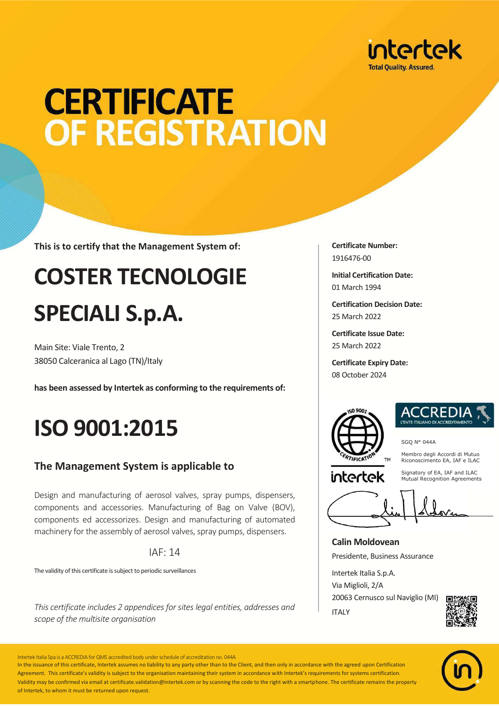

# **CERTIFICATE** OF REGISTRATION

**This is to certify that the Management System of:**

## **COSTER TECNOLOGIE SPECIALI S.p.A.**

Main Site: Viale Trento, 2 38050 Calceranica al Lago (TN)/Italy

**has been assessed by Intertek as conforming to the requirements of:**

## **ISO 9001:2015**

#### **The Management System is applicable to**

Design and manufacturing of aerosol valves, spray pumps, dispensers, components and accessories. Manufacturing of Bag on Valve (BOV), components ed accessorizes. Design and manufacturing of automated machinery for the assembly of aerosol valves, spray pumps, dispensers.

#### IAF: 14

The validity of this certificate is subject to periodic surveillances

*This certificate includes 2 appendices for sites legal entities, addresses and scope of the multisite organisation* 

**Certificate Number:** 1916476-00

**Initial Certification Date:** 01 March 1994

**Certification Decision Date:** 25 March 2022

**Certificate Issue Date:** 25 March 2022

**Certificate Expiry Date:** 08 October 2024



intertek



SGQ N° 044A

Membro degli Accordi di Mutuo Riconoscimento EA, IAF e ILAC

Signatory of EA, IAF and ILAC Mutual Recognition Agreements

**Calin Moldovean** Presidente, Business Assurance

Intertek Italia S.p.A. Via Miglioli, 2/A 20063 Cernusco sul Naviglio (MI) ITALY





Intertek Italia Spa is a ACCREDIA for QMS accredited body under schedule of accreditation no. 044A

In the issuance of this certificate, Intertek assumes no liability to any party other than to the Client, and then only in accordance with the agreed upon Certification Agreement. This certificate's validity is subject to the organisation maintaining their system in accordance with Intertek's requirements for systems certification. Validity may be confirmed via email at certificate.validation@intertek.com or by scanning the code to the right with a smartphone. The certificate remains the property of Intertek, to whom it must be returned upon request.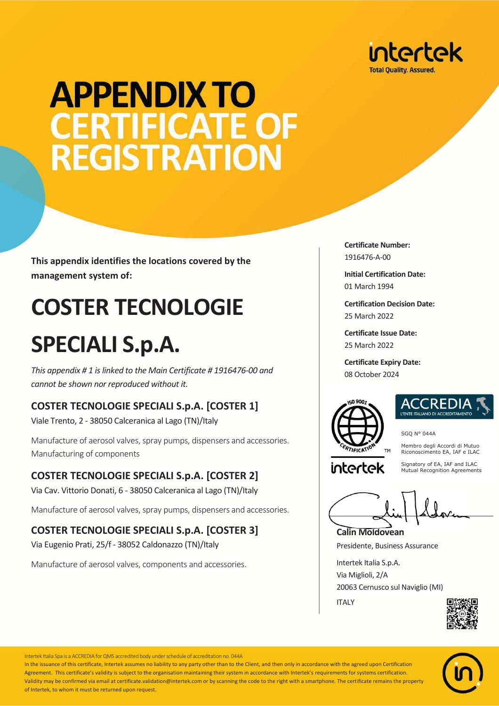

# **APPENDIX TO CERTIFICATE OF REGISTRATION**

**This appendix identifies the locations covered by the management system of:**

## **COSTER TECNOLOGIE**

## **SPECIALI S.p.A.**

*This appendix # 1 is linked to the Main Certificate # 1916476-00 and cannot be shown nor reproduced without it.*

#### **COSTER TECNOLOGIE SPECIALI S.p.A. [COSTER 1]**

Viale Trento, 2 - 38050 Calceranica al Lago (TN)/Italy

Manufacture of aerosol valves, spray pumps, dispensers and accessories. Manufacturing of components

#### **COSTER TECNOLOGIE SPECIALI S.p.A. [COSTER 2]**

Via Cav. Vittorio Donati, 6 - 38050 Calceranica al Lago (TN)/Italy

Manufacture of aerosol valves, spray pumps, dispensers and accessories.

#### **COSTER TECNOLOGIE SPECIALI S.p.A. [COSTER 3]**

Via Eugenio Prati, 25/f - 38052 Caldonazzo (TN)/Italy

Manufacture of aerosol valves, components and accessories.

**Certificate Number:** 1916476-A-00

**Initial Certification Date:** 01 March 1994

**Certification Decision Date:** 25 March 2022

**Certificate Issue Date:** 25 March 2022

**Certificate Expiry Date:** 08 October 2024





SGQ N° 044A

Membro degli Accordi di Mutuo Riconoscimento EA, IAF e ILAC

intertek

Signatory of EA, IAF and ILAC Mutual Recognition Agreements

**Calin Moldovean**

Presidente, Business Assurance

Intertek Italia S.p.A. Via Miglioli, 2/A 20063 Cernusco sul Naviglio (MI) ITALY





Intertek Italia Spa is a ACCREDIA for QMS accredited body under schedule of accreditation no. 044A

In the issuance of this certificate, Intertek assumes no liability to any party other than to the Client, and then only in accordance with the agreed upon Certification Agreement. This certificate's validity is subject to the organisation maintaining their system in accordance with Intertek's requirements for systems certification. Validity may be confirmed via email at certificate.validation@intertek.com or by scanning the code to the right with a smartphone. The certificate remains the property of Intertek, to whom it must be returned upon request.